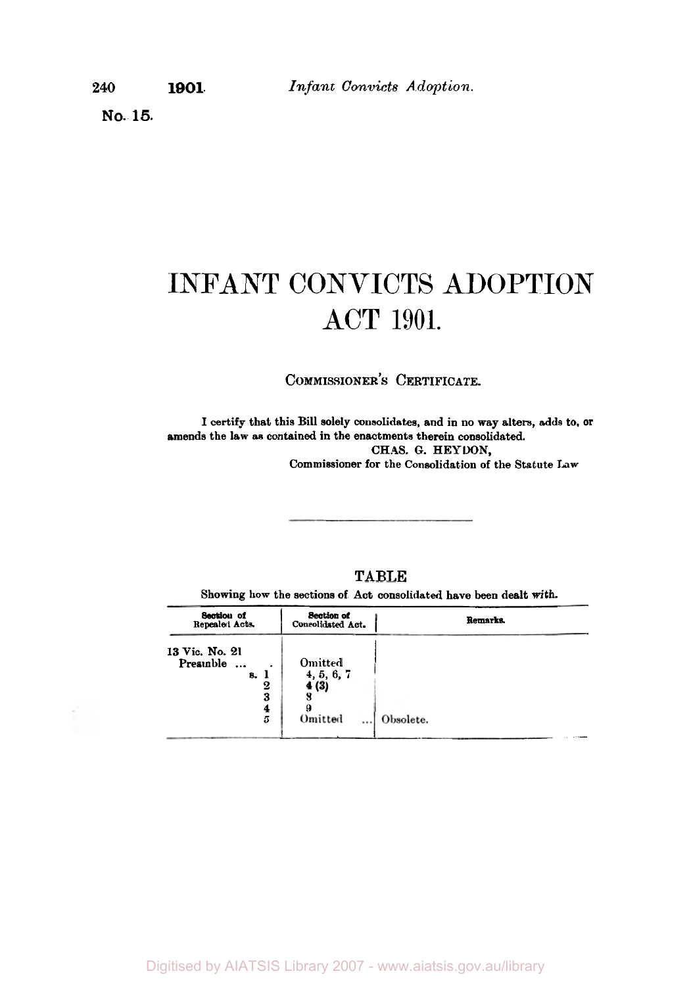**No. 15.** 

# INFANT CONVICTS ADOPTION ACT 1901.

**COMMISSIONER'S CERTIFICATE.** 

**I certify that this Bill solely consolidates, and in no way alters, adds to, or amends the law as contained in the enactments therein consolidated. CHAS. G. HEYDON, Commissioner for the Consolidation of the Statute Law** 

## **TABLE**

**Showing how the sections of Act consolidated have been dealt with.** 

| Section of<br>Repealed Acts.                                      | <b>Section of</b><br>Consolidated Act.               | <b>Remarks</b> |
|-------------------------------------------------------------------|------------------------------------------------------|----------------|
| 13 Vic. No. 21<br>Preamble<br>$\ddotsc$<br>8.<br>2<br>3<br>4<br>5 | Omitted<br>4, 5, 6, 7<br>4(3)<br>Omitted<br>$\cdots$ | Obsolete.      |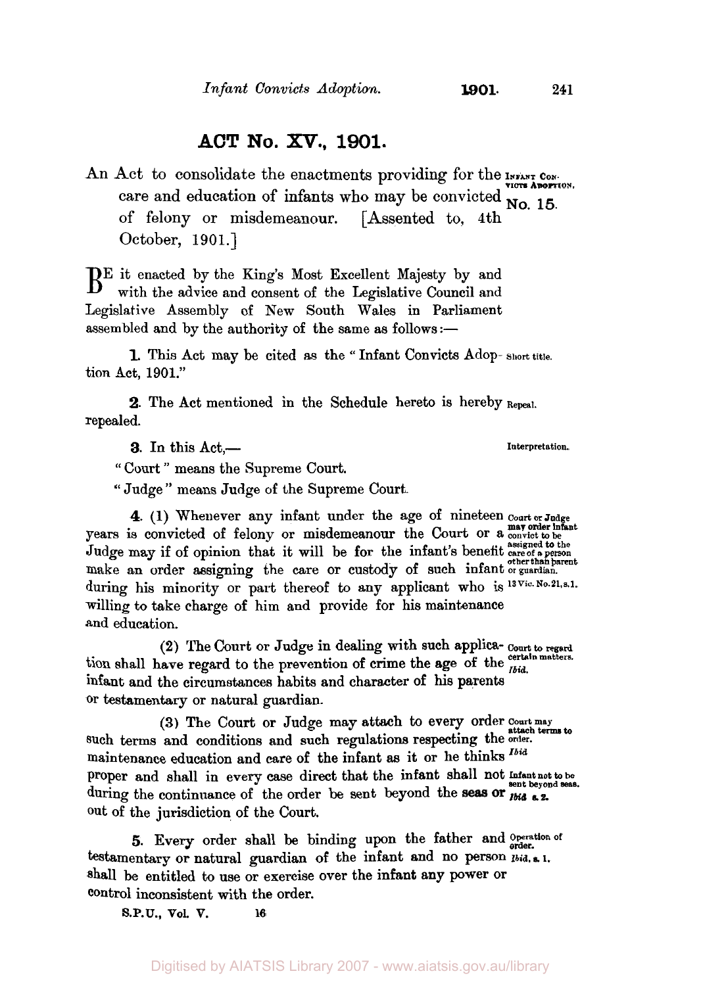## **ACT No.** *XV.,* **1901.**

An Act to consolidate the enactments providing for the **INFANT** CONcare and education of infants who may be convicted **No. 15.** of felony or misdemeanour. [Assented to, 4th October, 1901.]

 $\mathbf{B}^{\text{E}}$  it enacted by the King's Most Excellent Majesty by and with the advice and consent of the Legislative Council and Legislative Assembly of New South Wales in Parliament assembled and by the authority of the same as follows:-

tion Act, **1901.'' 1.** This Act may be cited as the " Infant Convicts Adop- **Short title.** 

2. The Act mentioned in the Schedule hereto is hereby **Repeal.**  repealed.

**3.** In this Act, <u>—</u>**Interpretation.** 

" Court " means the Supreme Court.

" Judge " means Judge of the Supreme Court.

**4. (1)** Whenever any infant under the age of nineteen **Court or Judge may order infant**  years is convicted of felony or misdemeanour the Court **or** a **convict to be**  Judge may if of opinion that it will be for the infant's benefit assigned to the make an order assigning the care or custody of such infant or guardian. during his minority or part thereof to any applicant who is <sup>13 Vic. No. 21, s. 1.</sup> willing to take charge of him and provide for his maintenance and education.

**(2)** The Court or Judge in dealing with such applica- **Court to regard**  tion shall have regard to the prevention of crime the age of the *Ibid.* infant and the circumstances habits and character of **his** parents or testamentary **or** natural guardian.

such terms and conditions and such regulations respecting the order. maintenance education and care of the infant **as** it or he thinks *Ibid*  proper and shall in every case direct that the infant shall not Infant not to be sent beyond seas. during the continuance of the order be sent beyond the seas or  $\overrightarrow{I_{bid}}$  s.2. out of the jurisdiction of the Court. **(3)** The Court or Judge may attach to every order Court may attach terms to

testamentary or natural guardian of the infant and no person  $p_{tid. s. 1.}$ Shall be entitled to use **or** exercise over the infant any **power** or control inconsistent with the order. 5. Every order shall be binding upon the father and Operation of

**S.P.U., Vol. V. 16**